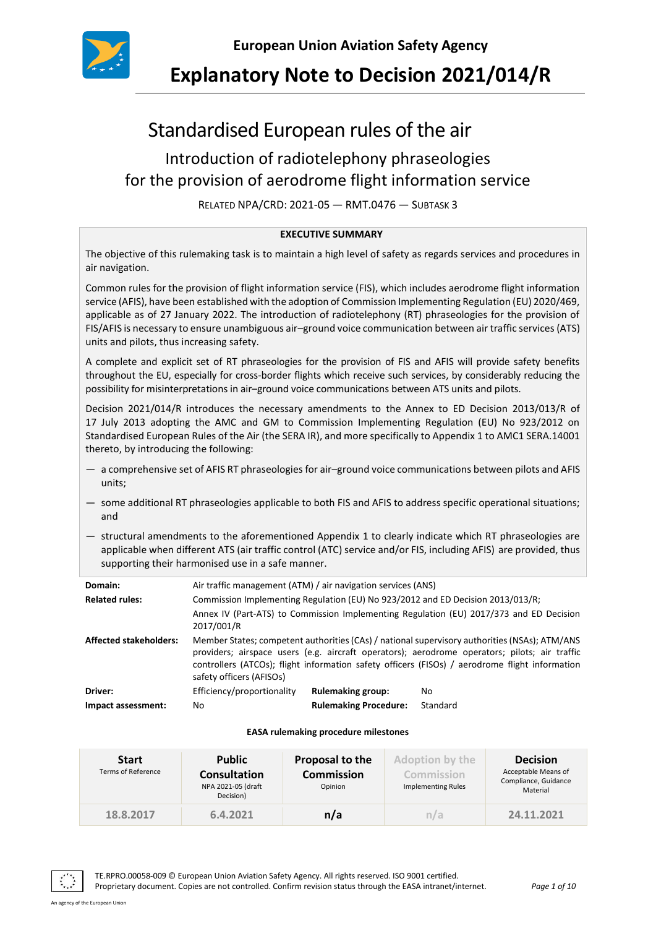

# **Explanatory Note to Decision 2021/014/R**

# Standardised European rules of the air

## Introduction of radiotelephony phraseologies for the provision of aerodrome flight information service

RELATED NPA/CRD: 2021-05 — RMT.0476 — SUBTASK 3

#### **EXECUTIVE SUMMARY**

The objective of this rulemaking task is to maintain a high level of safety as regards services and procedures in air navigation.

Common rules for the provision of flight information service (FIS), which includes aerodrome flight information service (AFIS), have been established with the adoption of Commission Implementing Regulation (EU) 2020/469, applicable as of 27 January 2022. The introduction of radiotelephony (RT) phraseologies for the provision of FIS/AFIS is necessary to ensure unambiguous air–ground voice communication between air traffic services (ATS) units and pilots, thus increasing safety.

A complete and explicit set of RT phraseologies for the provision of FIS and AFIS will provide safety benefits throughout the EU, especially for cross-border flights which receive such services, by considerably reducing the possibility for misinterpretations in air–ground voice communications between ATS units and pilots.

Decision 2021/014/R introduces the necessary amendments to the Annex to ED Decision 2013/013/R of 17 July 2013 adopting the AMC and GM to Commission Implementing Regulation (EU) No 923/2012 on Standardised European Rules of the Air (the SERA IR), and more specifically to Appendix 1 to AMC1 SERA.14001 thereto, by introducing the following:

- a comprehensive set of AFIS RT phraseologies for air–ground voice communications between pilots and AFIS units;
- some additional RT phraseologies applicable to both FIS and AFIS to address specific operational situations; and
- structural amendments to the aforementioned Appendix 1 to clearly indicate which RT phraseologies are applicable when different ATS (air traffic control (ATC) service and/or FIS, including AFIS) are provided, thus supporting their harmonised use in a safe manner.

| Domain:                       | Air traffic management (ATM) / air navigation services (ANS)                                                                                                                                                                                                                                                                 |                              |          |  |  |
|-------------------------------|------------------------------------------------------------------------------------------------------------------------------------------------------------------------------------------------------------------------------------------------------------------------------------------------------------------------------|------------------------------|----------|--|--|
| <b>Related rules:</b>         | Commission Implementing Regulation (EU) No 923/2012 and ED Decision 2013/013/R;<br>Annex IV (Part-ATS) to Commission Implementing Regulation (EU) 2017/373 and ED Decision<br>2017/001/R                                                                                                                                     |                              |          |  |  |
|                               |                                                                                                                                                                                                                                                                                                                              |                              |          |  |  |
| <b>Affected stakeholders:</b> | Member States; competent authorities (CAs) / national supervisory authorities (NSAs); ATM/ANS<br>providers; airspace users (e.g. aircraft operators); aerodrome operators; pilots; air traffic<br>controllers (ATCOs); flight information safety officers (FISOs) / aerodrome flight information<br>safety officers (AFISOs) |                              |          |  |  |
| Driver:                       | Efficiency/proportionality                                                                                                                                                                                                                                                                                                   | <b>Rulemaking group:</b>     | No.      |  |  |
| Impact assessment:            | No                                                                                                                                                                                                                                                                                                                           | <b>Rulemaking Procedure:</b> | Standard |  |  |

#### **EASA rulemaking procedure milestones**

| <b>Start</b><br><b>Terms of Reference</b> | <b>Public</b><br><b>Consultation</b><br>NPA 2021-05 (draft<br>Decision) | Proposal to the<br><b>Commission</b><br>Opinion | <b>Adoption by the</b><br>Commission<br>Implementing Rules | <b>Decision</b><br>Acceptable Means of<br>Compliance, Guidance<br>Material |
|-------------------------------------------|-------------------------------------------------------------------------|-------------------------------------------------|------------------------------------------------------------|----------------------------------------------------------------------------|
| 18.8.2017                                 | 6.4.2021                                                                | n/a                                             | n/a                                                        | 24.11.2021                                                                 |

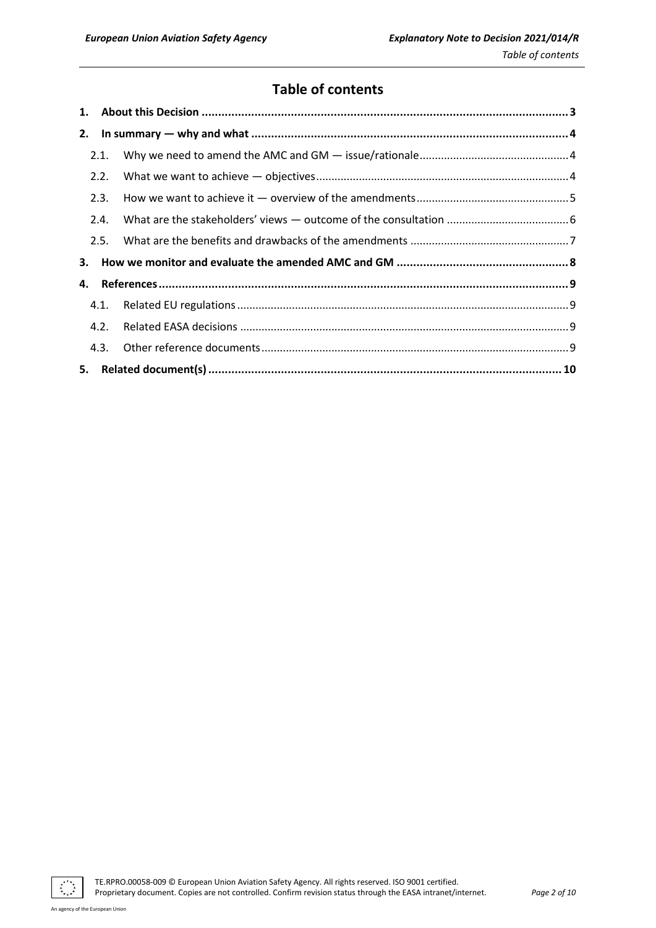## **Table of contents**

| 2. |      |  |  |
|----|------|--|--|
|    | 2.1. |  |  |
|    | 2.2. |  |  |
|    | 2.3. |  |  |
|    | 2.4. |  |  |
|    | 2.5. |  |  |
| 3. |      |  |  |
| 4. |      |  |  |
|    | 4.1. |  |  |
|    | 4.2. |  |  |
|    |      |  |  |
|    |      |  |  |

 $\mathcal{L}^{\mathcal{A}}$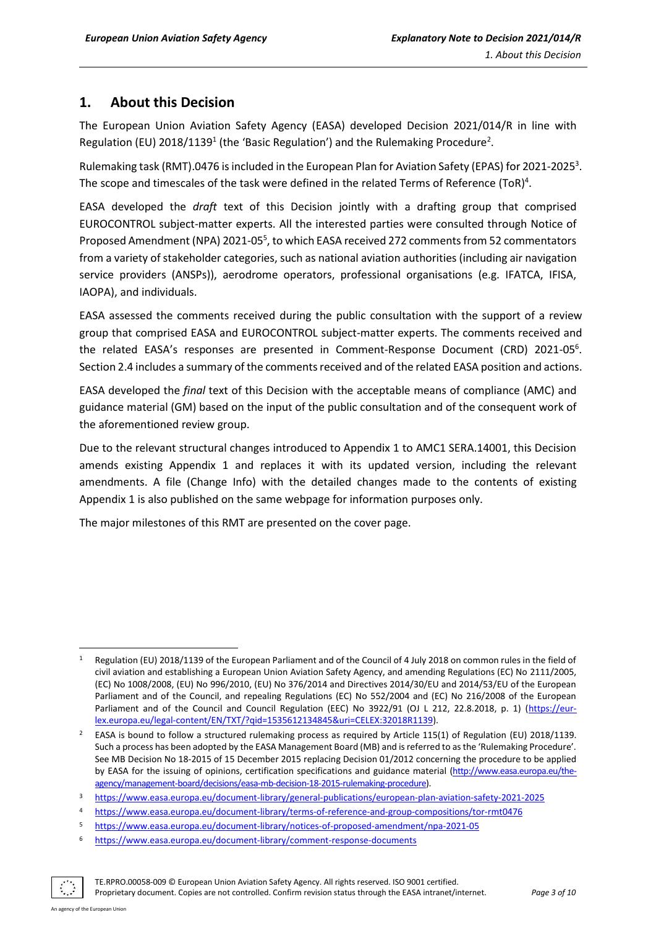## <span id="page-2-0"></span>**1. About this Decision**

The European Union Aviation Safety Agency (EASA) developed Decision 2021/014/R in line with Regulation (EU) 2018/1139<sup>1</sup> (the 'Basic Regulation') and the Rulemaking Procedure<sup>2</sup>.

Rulemaking task (RMT).0476 is included in the European Plan for Aviation Safety (EPAS) for 2021-2025<sup>3</sup>. The scope and timescales of the task were defined in the related Terms of Reference (ToR)<sup>4</sup>.

EASA developed the *draft* text of this Decision jointly with a drafting group that comprised EUROCONTROL subject-matter experts. All the interested parties were consulted through Notice of Proposed Amendment (NPA) 2021-05<sup>5</sup>, to which EASA received 272 comments from 52 commentators from a variety of stakeholder categories, such as national aviation authorities (including air navigation service providers (ANSPs)), aerodrome operators, professional organisations (e.g. IFATCA, IFISA, IAOPA), and individuals.

EASA assessed the comments received during the public consultation with the support of a review group that comprised EASA and EUROCONTROL subject-matter experts. The comments received and the related EASA's responses are presented in Comment-Response Document (CRD) 2021-05<sup>6</sup>. Section 2.4 includes a summary of the comments received and of the related EASA position and actions.

EASA developed the *final* text of this Decision with the acceptable means of compliance (AMC) and guidance material (GM) based on the input of the public consultation and of the consequent work of the aforementioned review group.

Due to the relevant structural changes introduced to Appendix 1 to AMC1 SERA.14001, this Decision amends existing Appendix 1 and replaces it with its updated version, including the relevant amendments. A file (Change Info) with the detailed changes made to the contents of existing Appendix 1 is also published on the same webpage for information purposes only.

The major milestones of this RMT are presented on the cover page.

TE.RPRO.00058-009 © European Union Aviation Safety Agency. All rights reserved. ISO 9001 certified.

Proprietary document. Copies are not controlled. Confirm revision status through the EASA intranet/internet. *Page 3 of 10*

Regulation (EU) 2018/1139 of the European Parliament and of the Council of 4 July 2018 on common rules in the field of civil aviation and establishing a European Union Aviation Safety Agency, and amending Regulations (EC) No 2111/2005, (EC) No 1008/2008, (EU) No 996/2010, (EU) No 376/2014 and Directives 2014/30/EU and 2014/53/EU of the European Parliament and of the Council, and repealing Regulations (EC) No 552/2004 and (EC) No 216/2008 of the European Parliament and of the Council and Council Regulation (EEC) No 3922/91 (OJ L 212, 22.8.2018, p. 1) [\(https://eur](https://eur-lex.europa.eu/legal-content/EN/TXT/?qid=1535612134845&uri=CELEX:32018R1139)[lex.europa.eu/legal-content/EN/TXT/?qid=1535612134845&uri=CELEX:32018R1139\)](https://eur-lex.europa.eu/legal-content/EN/TXT/?qid=1535612134845&uri=CELEX:32018R1139).

<sup>&</sup>lt;sup>2</sup> EASA is bound to follow a structured rulemaking process as required by Article 115(1) of Regulation (EU) 2018/1139. Such a process has been adopted by the EASA Management Board (MB) and is referred to as the 'Rulemaking Procedure'. See MB Decision No 18-2015 of 15 December 2015 replacing Decision 01/2012 concerning the procedure to be applied by EASA for the issuing of opinions, certification specifications and guidance material [\(http://www.easa.europa.eu/the](http://www.easa.europa.eu/the-agency/management-board/decisions/easa-mb-decision-18-2015-rulemaking-procedure)[agency/management-board/decisions/easa-mb-decision-18-2015-rulemaking-procedure\)](http://www.easa.europa.eu/the-agency/management-board/decisions/easa-mb-decision-18-2015-rulemaking-procedure).

<sup>3</sup> <https://www.easa.europa.eu/document-library/general-publications/european-plan-aviation-safety-2021-2025>

<sup>4</sup> <https://www.easa.europa.eu/document-library/terms-of-reference-and-group-compositions/tor-rmt0476>

<sup>5</sup> <https://www.easa.europa.eu/document-library/notices-of-proposed-amendment/npa-2021-05>

<sup>6</sup> <https://www.easa.europa.eu/document-library/comment-response-documents>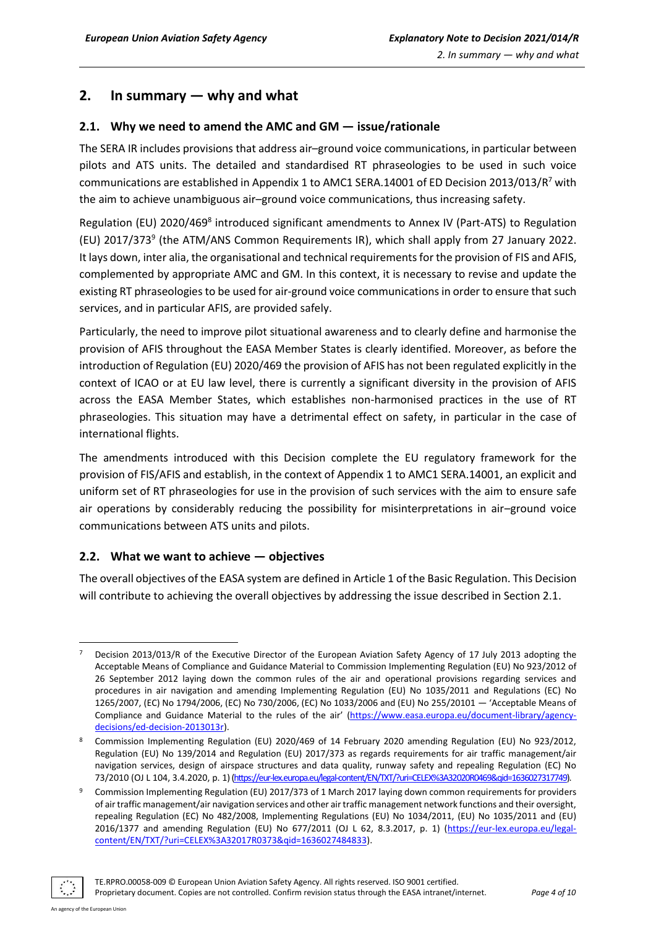## <span id="page-3-0"></span>**2. In summary — why and what**

#### <span id="page-3-1"></span>**2.1. Why we need to amend the AMC and GM — issue/rationale**

The SERA IR includes provisions that address air–ground voice communications, in particular between pilots and ATS units. The detailed and standardised RT phraseologies to be used in such voice communications are established in Appendix 1 to AMC1 SERA.14001 of ED Decision 2013/013/R<sup>7</sup> with the aim to achieve unambiguous air–ground voice communications, thus increasing safety.

Regulation (EU) 2020/469<sup>8</sup> introduced significant amendments to Annex IV (Part-ATS) to Regulation (EU) 2017/373<sup>9</sup> (the ATM/ANS Common Requirements IR), which shall apply from 27 January 2022. It lays down, inter alia, the organisational and technical requirements for the provision of FIS and AFIS, complemented by appropriate AMC and GM. In this context, it is necessary to revise and update the existing RT phraseologies to be used for air-ground voice communications in order to ensure that such services, and in particular AFIS, are provided safely.

Particularly, the need to improve pilot situational awareness and to clearly define and harmonise the provision of AFIS throughout the EASA Member States is clearly identified. Moreover, as before the introduction of Regulation (EU) 2020/469 the provision of AFIS has not been regulated explicitly in the context of ICAO or at EU law level, there is currently a significant diversity in the provision of AFIS across the EASA Member States, which establishes non-harmonised practices in the use of RT phraseologies. This situation may have a detrimental effect on safety, in particular in the case of international flights.

The amendments introduced with this Decision complete the EU regulatory framework for the provision of FIS/AFIS and establish, in the context of Appendix 1 to AMC1 SERA.14001, an explicit and uniform set of RT phraseologies for use in the provision of such services with the aim to ensure safe air operations by considerably reducing the possibility for misinterpretations in air–ground voice communications between ATS units and pilots.

#### <span id="page-3-2"></span>**2.2. What we want to achieve — objectives**

The overall objectives of the EASA system are defined in Article 1 of the Basic Regulation. This Decision will contribute to achieving the overall objectives by addressing the issue described in Section 2.1.

<sup>9</sup> Commission Implementing Regulation (EU) 2017/373 of 1 March 2017 laying down common requirements for providers of air traffic management/air navigation services and other air traffic management network functions and their oversight, repealing Regulation (EC) No 482/2008, Implementing Regulations (EU) No 1034/2011, (EU) No 1035/2011 and (EU) 2016/1377 and amending Regulation (EU) No 677/2011 (OJ L 62, 8.3.2017, p. 1) [\(https://eur-lex.europa.eu/legal](https://eur-lex.europa.eu/legal-content/EN/TXT/?uri=CELEX%3A32017R0373&qid=1636027484833)[content/EN/TXT/?uri=CELEX%3A32017R0373&qid=1636027484833\)](https://eur-lex.europa.eu/legal-content/EN/TXT/?uri=CELEX%3A32017R0373&qid=1636027484833).



TE.RPRO.00058-009 © European Union Aviation Safety Agency. All rights reserved. ISO 9001 certified.

Proprietary document. Copies are not controlled. Confirm revision status through the EASA intranet/internet. *Page 4 of 10*

Decision 2013/013/R of the Executive Director of the European Aviation Safety Agency of 17 July 2013 adopting the Acceptable Means of Compliance and Guidance Material to Commission Implementing Regulation (EU) No 923/2012 of 26 September 2012 laying down the common rules of the air and operational provisions regarding services and procedures in air navigation and amending Implementing Regulation (EU) No 1035/2011 and Regulations (EC) No 1265/2007, (EC) No 1794/2006, (EC) No 730/2006, (EC) No 1033/2006 and (EU) No 255/20101 — 'Acceptable Means of Compliance and Guidance Material to the rules of the air' [\(https://www.easa.europa.eu/document-library/agency](https://www.easa.europa.eu/document-library/agency-decisions/ed-decision-2013013r)[decisions/ed-decision-2013013r\).](https://www.easa.europa.eu/document-library/agency-decisions/ed-decision-2013013r)

<sup>8</sup> Commission Implementing Regulation (EU) 2020/469 of 14 February 2020 amending Regulation (EU) No 923/2012, Regulation (EU) No 139/2014 and Regulation (EU) 2017/373 as regards requirements for air traffic management/air navigation services, design of airspace structures and data quality, runway safety and repealing Regulation (EC) No 73/2010 (OJ L 104, 3.4.2020, p. 1)[\(https://eur-lex.europa.eu/legal-content/EN/TXT/?uri=CELEX%3A32020R0469&qid=1636027317749\).](https://eur-lex.europa.eu/legal-content/EN/TXT/?uri=CELEX%3A32020R0469&qid=1636027317749)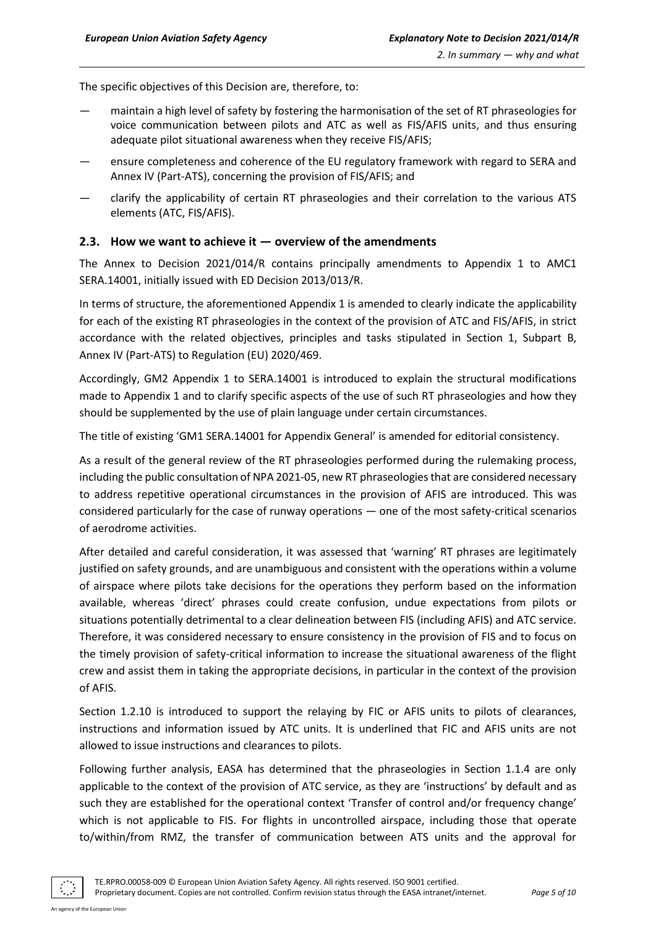The specific objectives of this Decision are, therefore, to:

- maintain a high level of safety by fostering the harmonisation of the set of RT phraseologies for voice communication between pilots and ATC as well as FIS/AFIS units, and thus ensuring adequate pilot situational awareness when they receive FIS/AFIS;
- ensure completeness and coherence of the EU regulatory framework with regard to SERA and Annex IV (Part-ATS), concerning the provision of FIS/AFIS; and
- clarify the applicability of certain RT phraseologies and their correlation to the various ATS elements (ATC, FIS/AFIS).

#### <span id="page-4-0"></span>**2.3. How we want to achieve it — overview of the amendments**

The Annex to Decision 2021/014/R contains principally amendments to Appendix 1 to AMC1 SERA.14001, initially issued with ED Decision 2013/013/R.

In terms of structure, the aforementioned Appendix 1 is amended to clearly indicate the applicability for each of the existing RT phraseologies in the context of the provision of ATC and FIS/AFIS, in strict accordance with the related objectives, principles and tasks stipulated in Section 1, Subpart B, Annex IV (Part-ATS) to Regulation (EU) 2020/469.

Accordingly, GM2 Appendix 1 to SERA.14001 is introduced to explain the structural modifications made to Appendix 1 and to clarify specific aspects of the use of such RT phraseologies and how they should be supplemented by the use of plain language under certain circumstances.

The title of existing 'GM1 SERA.14001 for Appendix General' is amended for editorial consistency.

As a result of the general review of the RT phraseologies performed during the rulemaking process, including the public consultation of NPA 2021-05, new RT phraseologies that are considered necessary to address repetitive operational circumstances in the provision of AFIS are introduced. This was considered particularly for the case of runway operations — one of the most safety-critical scenarios of aerodrome activities.

After detailed and careful consideration, it was assessed that 'warning' RT phrases are legitimately justified on safety grounds, and are unambiguous and consistent with the operations within a volume of airspace where pilots take decisions for the operations they perform based on the information available, whereas 'direct' phrases could create confusion, undue expectations from pilots or situations potentially detrimental to a clear delineation between FIS (including AFIS) and ATC service. Therefore, it was considered necessary to ensure consistency in the provision of FIS and to focus on the timely provision of safety-critical information to increase the situational awareness of the flight crew and assist them in taking the appropriate decisions, in particular in the context of the provision of AFIS.

Section 1.2.10 is introduced to support the relaying by FIC or AFIS units to pilots of clearances, instructions and information issued by ATC units. It is underlined that FIC and AFIS units are not allowed to issue instructions and clearances to pilots.

Following further analysis, EASA has determined that the phraseologies in Section 1.1.4 are only applicable to the context of the provision of ATC service, as they are 'instructions' by default and as such they are established for the operational context 'Transfer of control and/or frequency change' which is not applicable to FIS. For flights in uncontrolled airspace, including those that operate to/within/from RMZ, the transfer of communication between ATS units and the approval for



ency of the European Union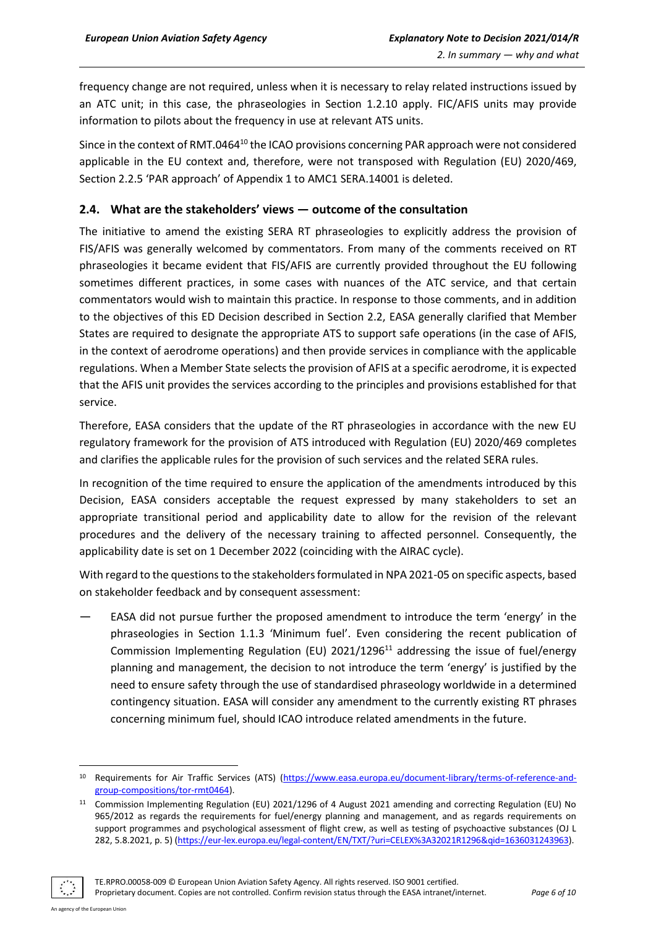frequency change are not required, unless when it is necessary to relay related instructions issued by an ATC unit; in this case, the phraseologies in Section 1.2.10 apply. FIC/AFIS units may provide information to pilots about the frequency in use at relevant ATS units.

Since in the context of RMT.0464<sup>10</sup> the ICAO provisions concerning PAR approach were not considered applicable in the EU context and, therefore, were not transposed with Regulation (EU) 2020/469, Section 2.2.5 'PAR approach' of Appendix 1 to AMC1 SERA.14001 is deleted.

#### <span id="page-5-0"></span>**2.4. What are the stakeholders' views — outcome of the consultation**

The initiative to amend the existing SERA RT phraseologies to explicitly address the provision of FIS/AFIS was generally welcomed by commentators. From many of the comments received on RT phraseologies it became evident that FIS/AFIS are currently provided throughout the EU following sometimes different practices, in some cases with nuances of the ATC service, and that certain commentators would wish to maintain this practice. In response to those comments, and in addition to the objectives of this ED Decision described in Section 2.2, EASA generally clarified that Member States are required to designate the appropriate ATS to support safe operations (in the case of AFIS, in the context of aerodrome operations) and then provide services in compliance with the applicable regulations. When a Member State selects the provision of AFIS at a specific aerodrome, it is expected that the AFIS unit provides the services according to the principles and provisions established for that service.

Therefore, EASA considers that the update of the RT phraseologies in accordance with the new EU regulatory framework for the provision of ATS introduced with Regulation (EU) 2020/469 completes and clarifies the applicable rules for the provision of such services and the related SERA rules.

In recognition of the time required to ensure the application of the amendments introduced by this Decision, EASA considers acceptable the request expressed by many stakeholders to set an appropriate transitional period and applicability date to allow for the revision of the relevant procedures and the delivery of the necessary training to affected personnel. Consequently, the applicability date is set on 1 December 2022 (coinciding with the AIRAC cycle).

With regard to the questions to the stakeholders formulated in NPA 2021-05 on specific aspects, based on stakeholder feedback and by consequent assessment:

— EASA did not pursue further the proposed amendment to introduce the term 'energy' in the phraseologies in Section 1.1.3 'Minimum fuel'. Even considering the recent publication of Commission Implementing Regulation (EU) 2021/1296<sup>11</sup> addressing the issue of fuel/energy planning and management, the decision to not introduce the term 'energy' is justified by the need to ensure safety through the use of standardised phraseology worldwide in a determined contingency situation. EASA will consider any amendment to the currently existing RT phrases concerning minimum fuel, should ICAO introduce related amendments in the future.

TE.RPRO.00058-009 © European Union Aviation Safety Agency. All rights reserved. ISO 9001 certified.

Proprietary document. Copies are not controlled. Confirm revision status through the EASA intranet/internet. *Page 6 of 10*

<sup>10</sup> Requirements for Air Traffic Services (ATS) [\(https://www.easa.europa.eu/document-library/terms-of-reference-and](https://www.easa.europa.eu/document-library/terms-of-reference-and-group-compositions/tor-rmt0464)[group-compositions/tor-rmt0464\)](https://www.easa.europa.eu/document-library/terms-of-reference-and-group-compositions/tor-rmt0464).

<sup>11</sup> Commission Implementing Regulation (EU) 2021/1296 of 4 August 2021 amending and correcting Regulation (EU) No 965/2012 as regards the requirements for fuel/energy planning and management, and as regards requirements on support programmes and psychological assessment of flight crew, as well as testing of psychoactive substances (OJ L 282, 5.8.2021, p. 5) [\(https://eur-lex.europa.eu/legal-content/EN/TXT/?uri=CELEX%3A32021R1296&qid=1636031243963\).](https://eur-lex.europa.eu/legal-content/EN/TXT/?uri=CELEX%3A32021R1296&qid=1636031243963)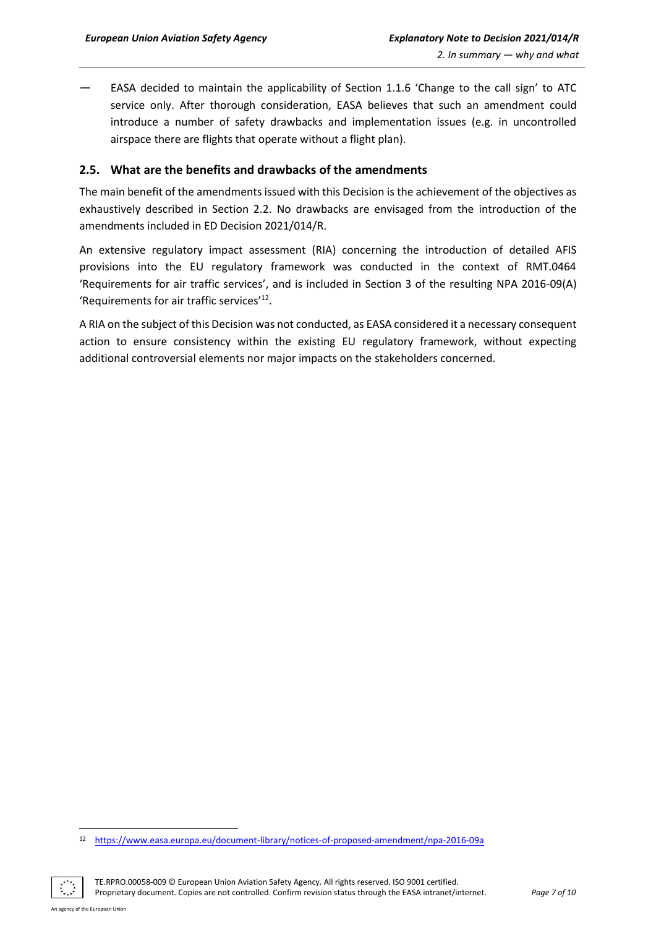— EASA decided to maintain the applicability of Section 1.1.6 'Change to the call sign' to ATC service only. After thorough consideration, EASA believes that such an amendment could introduce a number of safety drawbacks and implementation issues (e.g. in uncontrolled airspace there are flights that operate without a flight plan).

#### <span id="page-6-0"></span>**2.5. What are the benefits and drawbacks of the amendments**

The main benefit of the amendments issued with this Decision is the achievement of the objectives as exhaustively described in Section 2.2. No drawbacks are envisaged from the introduction of the amendments included in ED Decision 2021/014/R.

An extensive regulatory impact assessment (RIA) concerning the introduction of detailed AFIS provisions into the EU regulatory framework was conducted in the context of RMT.0464 'Requirements for air traffic services', and is included in Section 3 of the resulting NPA 2016-09(A) 'Requirements for air traffic services<sup>'12</sup>.

A RIA on the subject of this Decision was not conducted, as EASA considered it a necessary consequent action to ensure consistency within the existing EU regulatory framework, without expecting additional controversial elements nor major impacts on the stakeholders concerned.

TE.RPRO.00058-009 © European Union Aviation Safety Agency. All rights reserved. ISO 9001 certified. Proprietary document. Copies are not controlled. Confirm revision status through the EASA intranet/internet. *Page 7 of 10*

<sup>12</sup> <https://www.easa.europa.eu/document-library/notices-of-proposed-amendment/npa-2016-09a>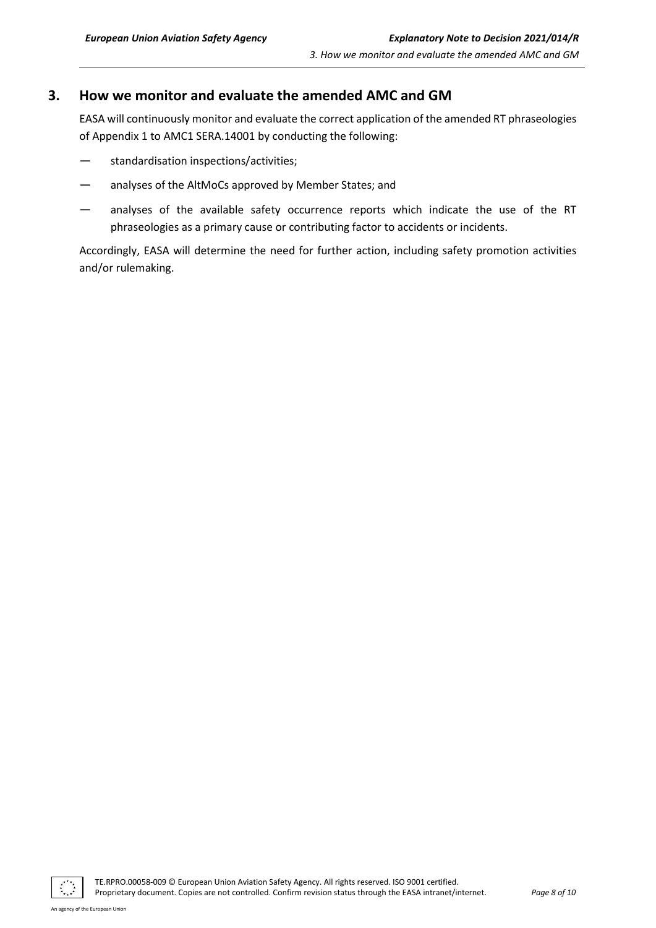### <span id="page-7-0"></span>**3. How we monitor and evaluate the amended AMC and GM**

EASA will continuously monitor and evaluate the correct application of the amended RT phraseologies of Appendix 1 to AMC1 SERA.14001 by conducting the following:

- standardisation inspections/activities;
- analyses of the AltMoCs approved by Member States; and
- analyses of the available safety occurrence reports which indicate the use of the RT phraseologies as a primary cause or contributing factor to accidents or incidents.

Accordingly, EASA will determine the need for further action, including safety promotion activities and/or rulemaking.

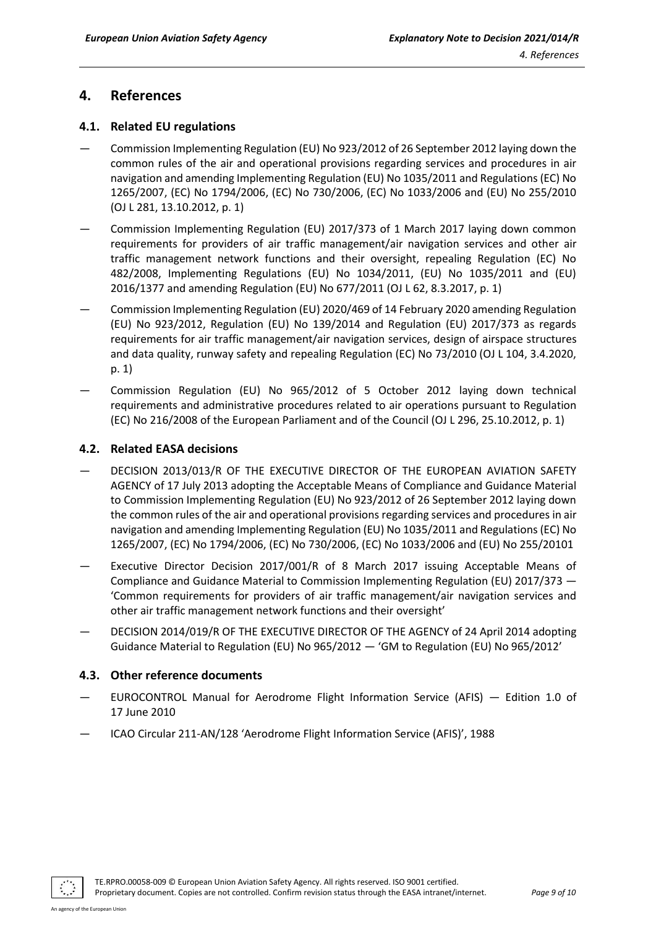## <span id="page-8-0"></span>**4. References**

#### <span id="page-8-1"></span>**4.1. Related EU regulations**

- Commission Implementing Regulation (EU) No 923/2012 of 26 September 2012 laying down the common rules of the air and operational provisions regarding services and procedures in air navigation and amending Implementing Regulation (EU) No 1035/2011 and Regulations (EC) No 1265/2007, (EC) No 1794/2006, (EC) No 730/2006, (EC) No 1033/2006 and (EU) No 255/2010 (OJ L 281, 13.10.2012, p. 1)
- Commission Implementing Regulation (EU) 2017/373 of 1 March 2017 laying down common requirements for providers of air traffic management/air navigation services and other air traffic management network functions and their oversight, repealing Regulation (EC) No 482/2008, Implementing Regulations (EU) No 1034/2011, (EU) No 1035/2011 and (EU) 2016/1377 and amending Regulation (EU) No 677/2011 (OJ L 62, 8.3.2017, p. 1)
- Commission Implementing Regulation (EU) 2020/469 of 14 February 2020 amending Regulation (EU) No 923/2012, Regulation (EU) No 139/2014 and Regulation (EU) 2017/373 as regards requirements for air traffic management/air navigation services, design of airspace structures and data quality, runway safety and repealing Regulation (EC) No 73/2010 (OJ L 104, 3.4.2020, p. 1)
- Commission Regulation (EU) No 965/2012 of 5 October 2012 laying down technical requirements and administrative procedures related to air operations pursuant to Regulation (EC) No 216/2008 of the European Parliament and of the Council (OJ L 296, 25.10.2012, p. 1)

#### <span id="page-8-2"></span>**4.2. Related EASA decisions**

- DECISION 2013/013/R OF THE EXECUTIVE DIRECTOR OF THE EUROPEAN AVIATION SAFETY AGENCY of 17 July 2013 adopting the Acceptable Means of Compliance and Guidance Material to Commission Implementing Regulation (EU) No 923/2012 of 26 September 2012 laying down the common rules of the air and operational provisions regarding services and procedures in air navigation and amending Implementing Regulation (EU) No 1035/2011 and Regulations (EC) No 1265/2007, (EC) No 1794/2006, (EC) No 730/2006, (EC) No 1033/2006 and (EU) No 255/20101
- Executive Director Decision 2017/001/R of 8 March 2017 issuing Acceptable Means of Compliance and Guidance Material to Commission Implementing Regulation (EU) 2017/373 — 'Common requirements for providers of air traffic management/air navigation services and other air traffic management network functions and their oversight'
- DECISION 2014/019/R OF THE EXECUTIVE DIRECTOR OF THE AGENCY of 24 April 2014 adopting Guidance Material to Regulation (EU) No 965/2012 — 'GM to Regulation (EU) No 965/2012'

#### <span id="page-8-3"></span>**4.3. Other reference documents**

- EUROCONTROL Manual for Aerodrome Flight Information Service (AFIS)  $-$  Edition 1.0 of 17 June 2010
- ICAO Circular 211-AN/128 'Aerodrome Flight Information Service (AFIS)', 1988

TE.RPRO.00058-009 © European Union Aviation Safety Agency. All rights reserved. ISO 9001 certified.